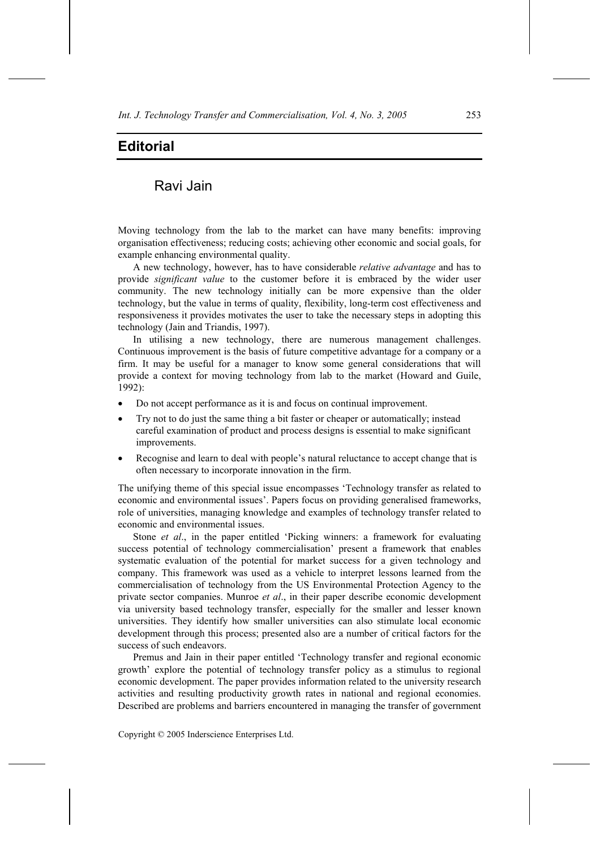## **Editorial**

## Ravi Jain

Moving technology from the lab to the market can have many benefits: improving organisation effectiveness; reducing costs; achieving other economic and social goals, for example enhancing environmental quality.

A new technology, however, has to have considerable *relative advantage* and has to provide *significant value* to the customer before it is embraced by the wider user community. The new technology initially can be more expensive than the older technology, but the value in terms of quality, flexibility, long-term cost effectiveness and responsiveness it provides motivates the user to take the necessary steps in adopting this technology (Jain and Triandis, 1997).

In utilising a new technology, there are numerous management challenges. Continuous improvement is the basis of future competitive advantage for a company or a firm. It may be useful for a manager to know some general considerations that will provide a context for moving technology from lab to the market (Howard and Guile, 1992):

- Do not accept performance as it is and focus on continual improvement.
- Try not to do just the same thing a bit faster or cheaper or automatically; instead careful examination of product and process designs is essential to make significant improvements.
- Recognise and learn to deal with people's natural reluctance to accept change that is often necessary to incorporate innovation in the firm.

The unifying theme of this special issue encompasses 'Technology transfer as related to economic and environmental issues'. Papers focus on providing generalised frameworks, role of universities, managing knowledge and examples of technology transfer related to economic and environmental issues.

Stone *et al*., in the paper entitled 'Picking winners: a framework for evaluating success potential of technology commercialisation' present a framework that enables systematic evaluation of the potential for market success for a given technology and company. This framework was used as a vehicle to interpret lessons learned from the commercialisation of technology from the US Environmental Protection Agency to the private sector companies. Munroe *et al*., in their paper describe economic development via university based technology transfer, especially for the smaller and lesser known universities. They identify how smaller universities can also stimulate local economic development through this process; presented also are a number of critical factors for the success of such endeavors.

Premus and Jain in their paper entitled 'Technology transfer and regional economic growth' explore the potential of technology transfer policy as a stimulus to regional economic development. The paper provides information related to the university research activities and resulting productivity growth rates in national and regional economies. Described are problems and barriers encountered in managing the transfer of government

Copyright © 2005 Inderscience Enterprises Ltd.